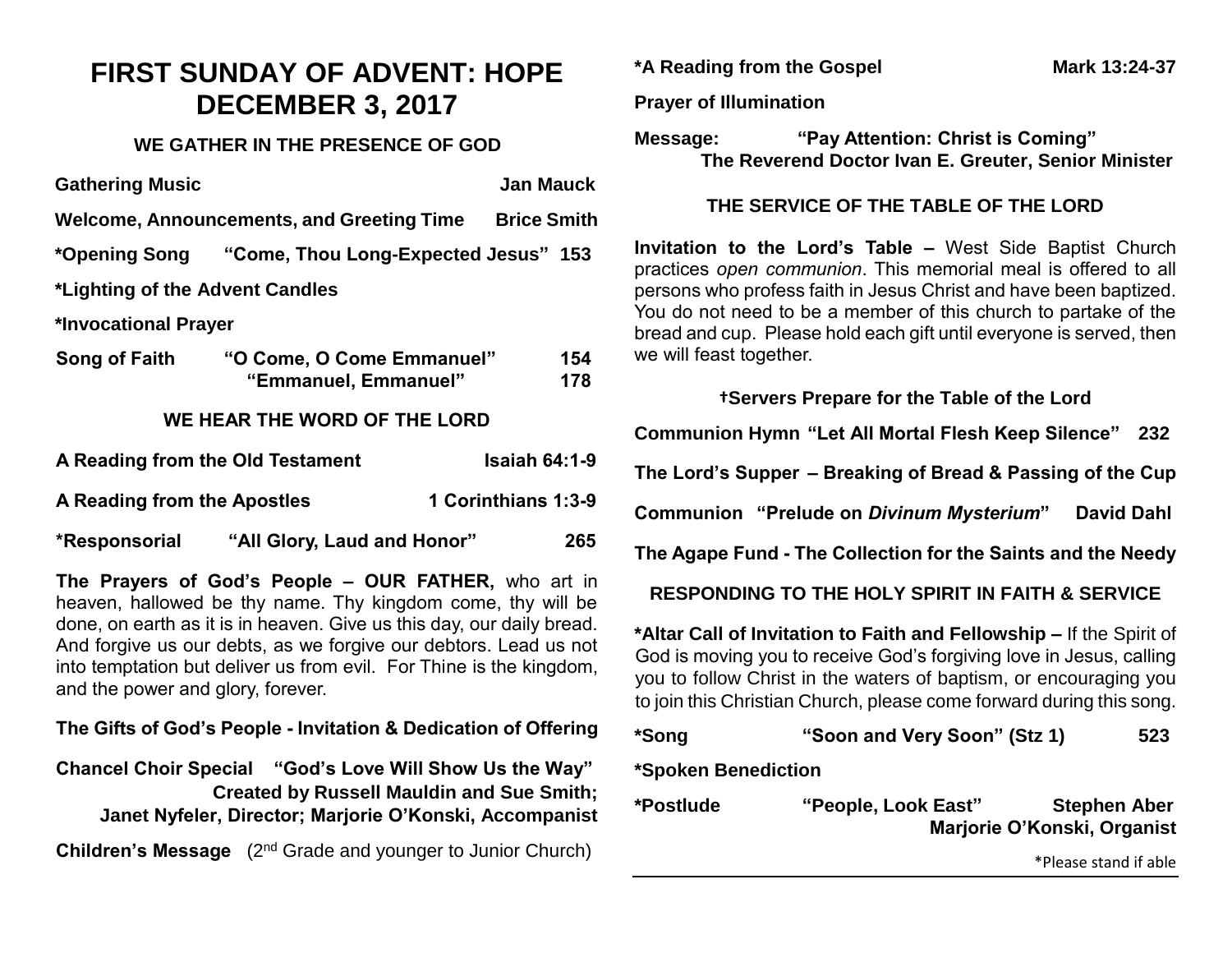# **FIRST SUNDAY OF ADVENT: HOPE DECEMBER 3, 2017**

## **WE GATHER IN THE PRESENCE OF GOD**

| <b>Gathering Music</b>                                   |                                                    |  | <b>Jan Mauck</b> |            |  |
|----------------------------------------------------------|----------------------------------------------------|--|------------------|------------|--|
| Welcome, Announcements, and Greeting Time Brice Smith    |                                                    |  |                  |            |  |
|                                                          | *Opening Song "Come, Thou Long-Expected Jesus" 153 |  |                  |            |  |
| *Lighting of the Advent Candles                          |                                                    |  |                  |            |  |
| *Invocational Prayer                                     |                                                    |  |                  |            |  |
| Song of Faith                                            | "O Come, O Come Emmanuel"<br>"Emmanuel, Emmanuel"  |  |                  | 154<br>178 |  |
| WE HEAR THE WORD OF THE LORD                             |                                                    |  |                  |            |  |
| <b>Isaiah 64:1-9</b><br>A Reading from the Old Testament |                                                    |  |                  |            |  |
| 1 Corinthians 1:3-9<br>A Reading from the Apostles       |                                                    |  |                  |            |  |
| *Responsorial                                            | "All Glory, Laud and Honor"                        |  |                  | 265        |  |
|                                                          |                                                    |  |                  |            |  |

**The Prayers of God's People – OUR FATHER,** who art in heaven, hallowed be thy name. Thy kingdom come, thy will be done, on earth as it is in heaven. Give us this day, our daily bread. And forgive us our debts, as we forgive our debtors. Lead us not into temptation but deliver us from evil. For Thine is the kingdom, and the power and glory, forever.

**The Gifts of God's People - Invitation & Dedication of Offering**

**Chancel Choir Special "God's Love Will Show Us the Way" Created by Russell Mauldin and Sue Smith; Janet Nyfeler, Director; Marjorie O'Konski, Accompanist**

**Children's Message** (2<sup>nd</sup> Grade and younger to Junior Church)

**\*A Reading from the Gospel Mark 13:24-37**

#### **Prayer of Illumination**

**Message: "Pay Attention: Christ is Coming" The Reverend Doctor Ivan E. Greuter, Senior Minister**

### **THE SERVICE OF THE TABLE OF THE LORD**

**Invitation to the Lord's Table –** West Side Baptist Church practices *open communion*. This memorial meal is offered to all persons who profess faith in Jesus Christ and have been baptized. You do not need to be a member of this church to partake of the bread and cup. Please hold each gift until everyone is served, then we will feast together.

**†Servers Prepare for the Table of the Lord Communion Hymn "Let All Mortal Flesh Keep Silence" 232 The Lord's Supper – Breaking of Bread & Passing of the Cup Communion "Prelude on** *Divinum Mysterium***" David Dahl The Agape Fund - The Collection for the Saints and the Needy**

**RESPONDING TO THE HOLY SPIRIT IN FAITH & SERVICE**

**\*Altar Call of Invitation to Faith and Fellowship –** If the Spirit of God is moving you to receive God's forgiving love in Jesus, calling you to follow Christ in the waters of baptism, or encouraging you to join this Christian Church, please come forward during this song.

| *Song | "Soon and Very Soon" (Stz 1) | 523 |
|-------|------------------------------|-----|
|       |                              |     |

**\*Spoken Benediction**

| *Postlude | "People, Look East" | <b>Stephen Aber</b>         |
|-----------|---------------------|-----------------------------|
|           |                     | Marjorie O'Konski, Organist |

\*Please stand if able